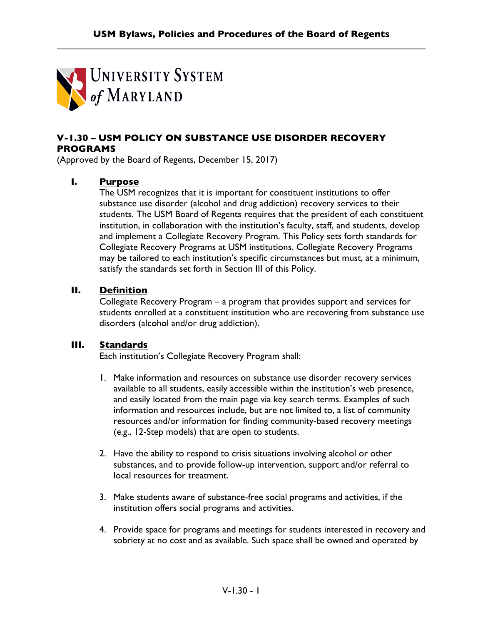

## **V-1.30 – USM POLICY ON SUBSTANCE USE DISORDER RECOVERY PROGRAMS**

(Approved by the Board of Regents, December 15, 2017)

## **I. Purpose**

The USM recognizes that it is important for constituent institutions to offer substance use disorder (alcohol and drug addiction) recovery services to their students. The USM Board of Regents requires that the president of each constituent institution, in collaboration with the institution's faculty, staff, and students, develop and implement a Collegiate Recovery Program. This Policy sets forth standards for Collegiate Recovery Programs at USM institutions. Collegiate Recovery Programs may be tailored to each institution's specific circumstances but must, at a minimum, satisfy the standards set forth in Section III of this Policy.

## **II. Definition**

Collegiate Recovery Program – a program that provides support and services for students enrolled at a constituent institution who are recovering from substance use disorders (alcohol and/or drug addiction).

## **III. Standards**

Each institution's Collegiate Recovery Program shall:

- 1. Make information and resources on substance use disorder recovery services available to all students, easily accessible within the institution's web presence, and easily located from the main page via key search terms. Examples of such information and resources include, but are not limited to, a list of community resources and/or information for finding community-based recovery meetings (e.g., 12-Step models) that are open to students.
- 2. Have the ability to respond to crisis situations involving alcohol or other substances, and to provide follow-up intervention, support and/or referral to local resources for treatment.
- 3. Make students aware of substance-free social programs and activities, if the institution offers social programs and activities.
- 4. Provide space for programs and meetings for students interested in recovery and sobriety at no cost and as available. Such space shall be owned and operated by